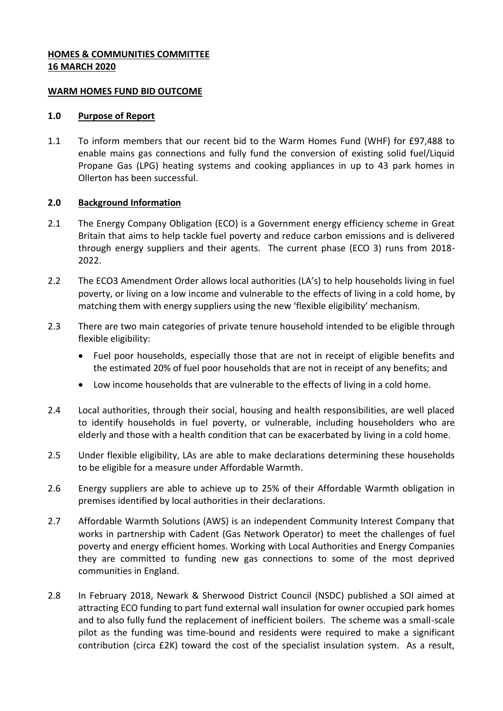## **HOMES & COMMUNITIES COMMITTEE 16 MARCH 2020**

### **WARM HOMES FUND BID OUTCOME**

#### **1.0 Purpose of Report**

1.1 To inform members that our recent bid to the Warm Homes Fund (WHF) for £97,488 to enable mains gas connections and fully fund the conversion of existing solid fuel/Liquid Propane Gas (LPG) heating systems and cooking appliances in up to 43 park homes in Ollerton has been successful.

### **2.0 Background Information**

- 2.1 The Energy Company Obligation (ECO) is a Government energy efficiency scheme in Great Britain that aims to help tackle fuel poverty and reduce carbon emissions and is delivered through energy suppliers and their agents. The current phase (ECO 3) runs from 2018- 2022.
- 2.2 The ECO3 Amendment Order allows local authorities (LA's) to help households living in fuel poverty, or living on a low income and vulnerable to the effects of living in a cold home, by matching them with energy suppliers using the new 'flexible eligibility' mechanism.
- 2.3 There are two main categories of private tenure household intended to be eligible through flexible eligibility:
	- Fuel poor households, especially those that are not in receipt of eligible benefits and the estimated 20% of fuel poor households that are not in receipt of any benefits; and
	- Low income households that are vulnerable to the effects of living in a cold home.
- 2.4 Local authorities, through their social, housing and health responsibilities, are well placed to identify households in fuel poverty, or vulnerable, including householders who are elderly and those with a health condition that can be exacerbated by living in a cold home.
- 2.5 Under flexible eligibility, LAs are able to make declarations determining these households to be eligible for a measure under Affordable Warmth.
- 2.6 Energy suppliers are able to achieve up to 25% of their Affordable Warmth obligation in premises identified by local authorities in their declarations.
- 2.7 Affordable Warmth Solutions (AWS) is an independent Community Interest Company that works in partnership with Cadent (Gas Network Operator) to meet the challenges of fuel poverty and energy efficient homes. Working with Local Authorities and Energy Companies they are committed to funding new gas connections to some of the most deprived communities in England.
- 2.8 In February 2018, Newark & Sherwood District Council (NSDC) published a SOI aimed at attracting ECO funding to part fund external wall insulation for owner occupied park homes and to also fully fund the replacement of inefficient boilers. The scheme was a small-scale pilot as the funding was time-bound and residents were required to make a significant contribution (circa £2K) toward the cost of the specialist insulation system. As a result,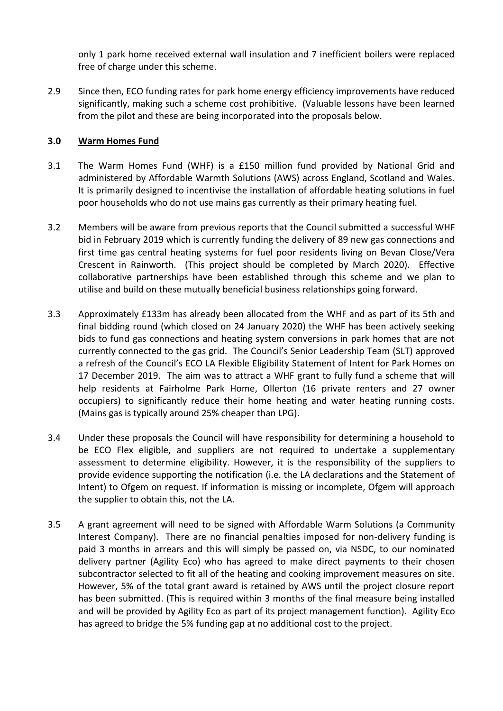only 1 park home received external wall insulation and 7 inefficient boilers were replaced free of charge under this scheme.

2.9 Since then, ECO funding rates for park home energy efficiency improvements have reduced significantly, making such a scheme cost prohibitive. (Valuable lessons have been learned from the pilot and these are being incorporated into the proposals below.

## **3.0 Warm Homes Fund**

- 3.1 The Warm Homes Fund (WHF) is a £150 million fund provided by National Grid and administered by Affordable Warmth Solutions (AWS) across England, Scotland and Wales. It is primarily designed to incentivise the installation of affordable heating solutions in fuel poor households who do not use mains gas currently as their primary heating fuel.
- 3.2 Members will be aware from previous reports that the Council submitted a successful WHF bid in February 2019 which is currently funding the delivery of 89 new gas connections and first time gas central heating systems for fuel poor residents living on Bevan Close/Vera Crescent in Rainworth. (This project should be completed by March 2020). Effective collaborative partnerships have been established through this scheme and we plan to utilise and build on these mutually beneficial business relationships going forward.
- 3.3 Approximately £133m has already been allocated from the WHF and as part of its 5th and final bidding round (which closed on 24 January 2020) the WHF has been actively seeking bids to fund gas connections and heating system conversions in park homes that are not currently connected to the gas grid. The Council's Senior Leadership Team (SLT) approved a refresh of the Council's ECO LA Flexible Eligibility Statement of Intent for Park Homes on 17 December 2019. The aim was to attract a WHF grant to fully fund a scheme that will help residents at Fairholme Park Home, Ollerton (16 private renters and 27 owner occupiers) to significantly reduce their home heating and water heating running costs. (Mains gas is typically around 25% cheaper than LPG).
- 3.4 Under these proposals the Council will have responsibility for determining a household to be ECO Flex eligible, and suppliers are not required to undertake a supplementary assessment to determine eligibility. However, it is the responsibility of the suppliers to provide evidence supporting the notification (i.e. the LA declarations and the Statement of Intent) to Ofgem on request. If information is missing or incomplete, Ofgem will approach the supplier to obtain this, not the LA.
- 3.5 A grant agreement will need to be signed with Affordable Warm Solutions (a Community Interest Company). There are no financial penalties imposed for non-delivery funding is paid 3 months in arrears and this will simply be passed on, via NSDC, to our nominated delivery partner (Agility Eco) who has agreed to make direct payments to their chosen subcontractor selected to fit all of the heating and cooking improvement measures on site. However, 5% of the total grant award is retained by AWS until the project closure report has been submitted. (This is required within 3 months of the final measure being installed and will be provided by Agility Eco as part of its project management function). Agility Eco has agreed to bridge the 5% funding gap at no additional cost to the project.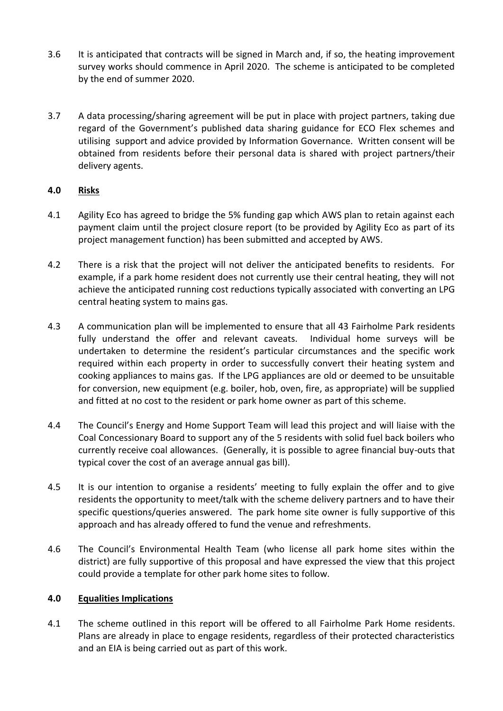- 3.6 It is anticipated that contracts will be signed in March and, if so, the heating improvement survey works should commence in April 2020. The scheme is anticipated to be completed by the end of summer 2020.
- 3.7 A data processing/sharing agreement will be put in place with project partners, taking due regard of the Government's published data sharing guidance for ECO Flex schemes and utilising support and advice provided by Information Governance. Written consent will be obtained from residents before their personal data is shared with project partners/their delivery agents.

# **4.0 Risks**

- 4.1 Agility Eco has agreed to bridge the 5% funding gap which AWS plan to retain against each payment claim until the project closure report (to be provided by Agility Eco as part of its project management function) has been submitted and accepted by AWS.
- 4.2 There is a risk that the project will not deliver the anticipated benefits to residents. For example, if a park home resident does not currently use their central heating, they will not achieve the anticipated running cost reductions typically associated with converting an LPG central heating system to mains gas.
- 4.3 A communication plan will be implemented to ensure that all 43 Fairholme Park residents fully understand the offer and relevant caveats. Individual home surveys will be undertaken to determine the resident's particular circumstances and the specific work required within each property in order to successfully convert their heating system and cooking appliances to mains gas. If the LPG appliances are old or deemed to be unsuitable for conversion, new equipment (e.g. boiler, hob, oven, fire, as appropriate) will be supplied and fitted at no cost to the resident or park home owner as part of this scheme.
- 4.4 The Council's Energy and Home Support Team will lead this project and will liaise with the Coal Concessionary Board to support any of the 5 residents with solid fuel back boilers who currently receive coal allowances. (Generally, it is possible to agree financial buy-outs that typical cover the cost of an average annual gas bill).
- 4.5 It is our intention to organise a residents' meeting to fully explain the offer and to give residents the opportunity to meet/talk with the scheme delivery partners and to have their specific questions/queries answered. The park home site owner is fully supportive of this approach and has already offered to fund the venue and refreshments.
- 4.6 The Council's Environmental Health Team (who license all park home sites within the district) are fully supportive of this proposal and have expressed the view that this project could provide a template for other park home sites to follow.

### **4.0 Equalities Implications**

4.1 The scheme outlined in this report will be offered to all Fairholme Park Home residents. Plans are already in place to engage residents, regardless of their protected characteristics and an EIA is being carried out as part of this work.